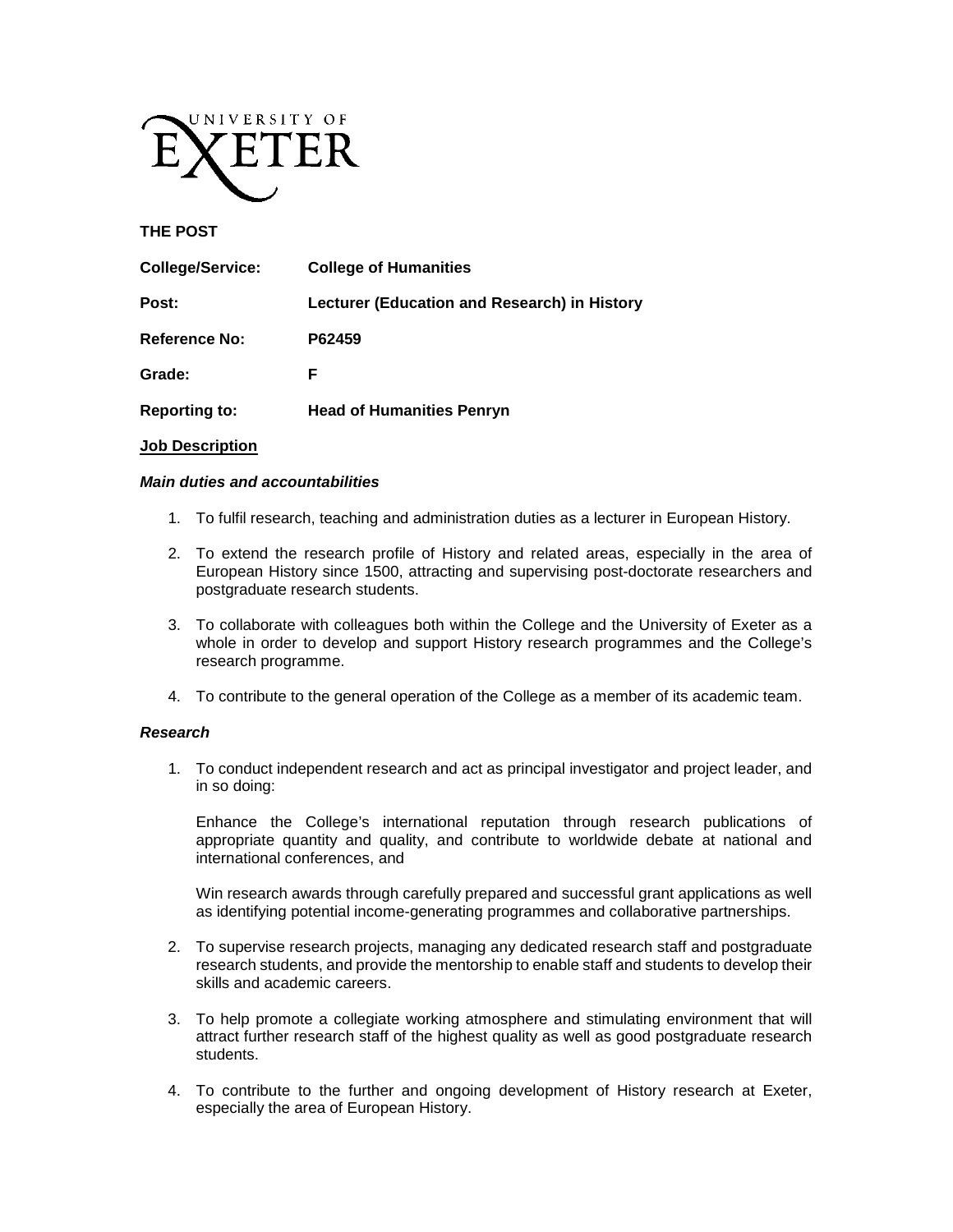

### **THE POST**

| <b>College/Service:</b> | <b>College of Humanities</b>                 |
|-------------------------|----------------------------------------------|
| Post:                   | Lecturer (Education and Research) in History |
| <b>Reference No:</b>    | P62459                                       |
| Grade:                  | F                                            |
| <b>Reporting to:</b>    | <b>Head of Humanities Penryn</b>             |

#### **Job Description**

### *Main duties and accountabilities*

- 1. To fulfil research, teaching and administration duties as a lecturer in European History.
- 2. To extend the research profile of History and related areas, especially in the area of European History since 1500, attracting and supervising post-doctorate researchers and postgraduate research students.
- 3. To collaborate with colleagues both within the College and the University of Exeter as a whole in order to develop and support History research programmes and the College's research programme.
- 4. To contribute to the general operation of the College as a member of its academic team.

### *Research*

1. To conduct independent research and act as principal investigator and project leader, and in so doing:

Enhance the College's international reputation through research publications of appropriate quantity and quality, and contribute to worldwide debate at national and international conferences, and

Win research awards through carefully prepared and successful grant applications as well as identifying potential income-generating programmes and collaborative partnerships.

- 2. To supervise research projects, managing any dedicated research staff and postgraduate research students, and provide the mentorship to enable staff and students to develop their skills and academic careers.
- 3. To help promote a collegiate working atmosphere and stimulating environment that will attract further research staff of the highest quality as well as good postgraduate research students.
- 4. To contribute to the further and ongoing development of History research at Exeter, especially the area of European History.